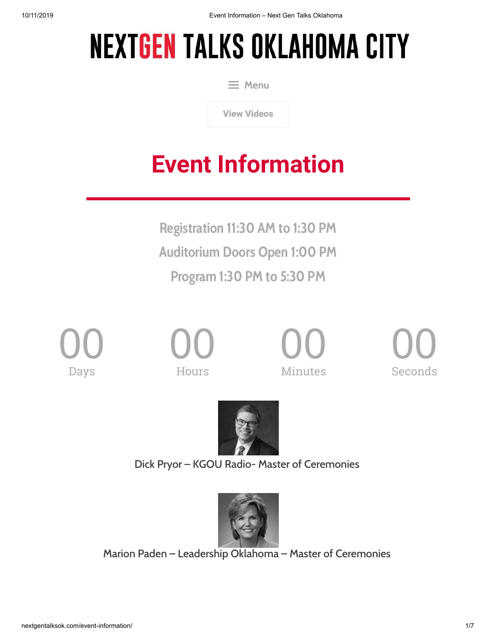# **NEXTGEN TALKS OKLAHOMA CITY**

 $\equiv$  Menu

[View Videos](http://nextgentalksok.com/view-videos)

# **Event Information**

**Registration 11:30 AM to 1:30 PM Auditorium Doors Open 1:00 PM Program 1:30 PM to 5:30 PM**



00 **Hours** 



00 Seconds



Dick Pryor – KGOU Radio- Master of Ceremonies



Marion Paden – Leadership Oklahoma – Master of Ceremonies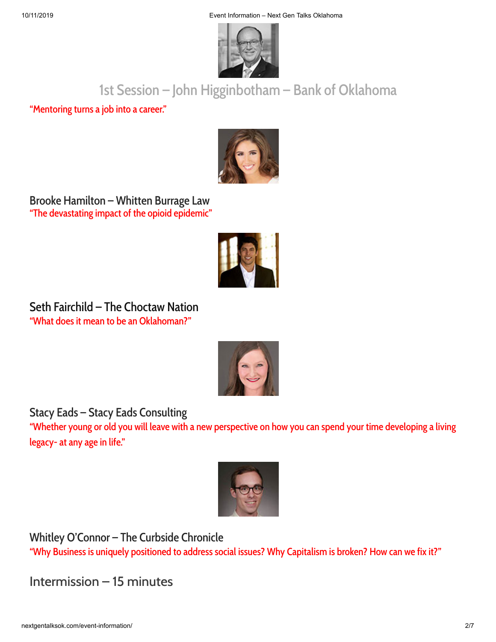

# 1st Session – John Higginbotham – Bank of Oklahoma

"Mentoring turns a job into a career."



Brooke Hamilton – Whitten Burrage Law "The devastating impact of the opioid epidemic"



Seth Fairchild – The Choctaw Nation "What does it mean to be an Oklahoman?"



Stacy Eads – Stacy Eads Consulting

"Whether young or old you will leave with a new perspective on how you can spend your time developing a living legacy- at any age in life."



Whitley O'Connor – The Curbside Chronicle

"Why Business is uniquely positioned to address social issues? Why Capitalism is broken? How can we fix it?"

Intermission – 15 minutes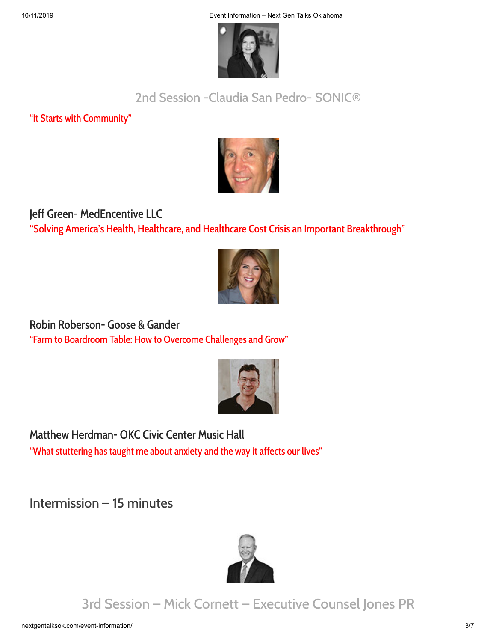10/11/2019 Event Information – Next Gen Talks Oklahoma



### 2nd Session -Claudia San Pedro- SONIC®

"It Starts with Community"



#### Jeff Green- MedEncentive LLC **"Solving America's Health, Healthcare, and Healthcare Cost Crisis an Important Breakthrough"**



Robin Roberson- Goose & Gander "Farm to Boardroom Table: How to Overcome Challenges and Grow"



Matthew Herdman- OKC Civic Center Music Hall "What stuttering has taught me about anxiety and the way it affects our lives"

Intermission – 15 minutes



3rd Session – Mick Cornett – Executive Counsel Jones PR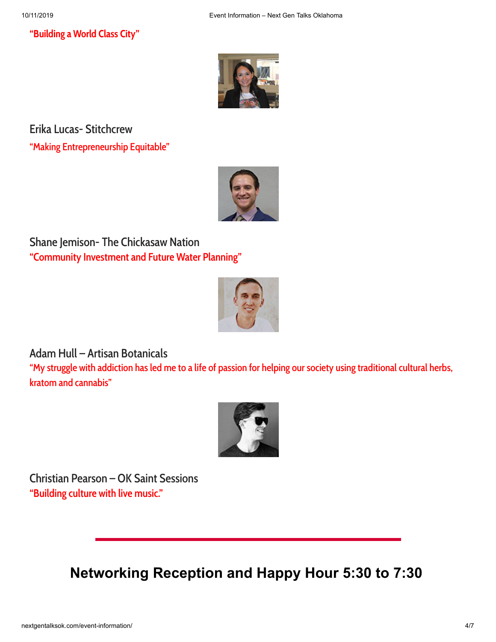#### **"Building a World Class City"**



Erika Lucas- Stitchcrew "Making Entrepreneurship Equitable"



Shane Jemison- The Chickasaw Nation **"Community Investment and Future Water Planning"**



#### Adam Hull – Artisan Botanicals

"My struggle with addiction has led me to a life of passion for helping our society using traditional cultural herbs, kratom and cannabis"



Christian Pearson – OK Saint Sessions **"Building culture with live music."**

**Networking Reception and Happy Hour 5:30 to 7:30**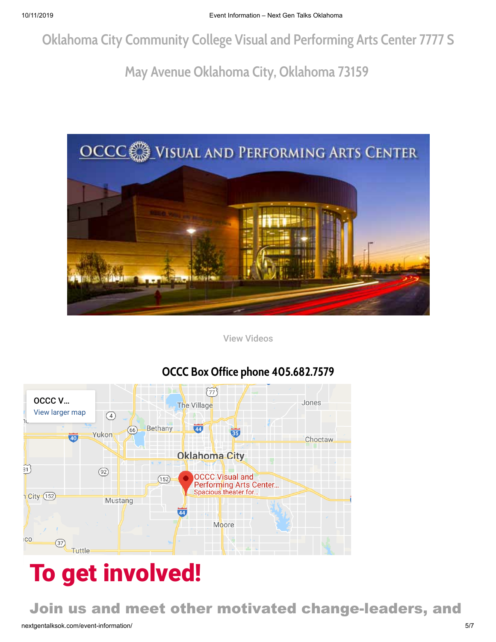**Oklahoma City Community College Visual and Performing Arts Center 7777 S**

# **May Avenue Oklahoma City, Oklahoma 73159**



[View Videos](http://nextgentalks.com/view-videos)



### **OCCC Box Office phone 405.682.7579**

# To get involved!

Join us and meet other motivated change-leaders, and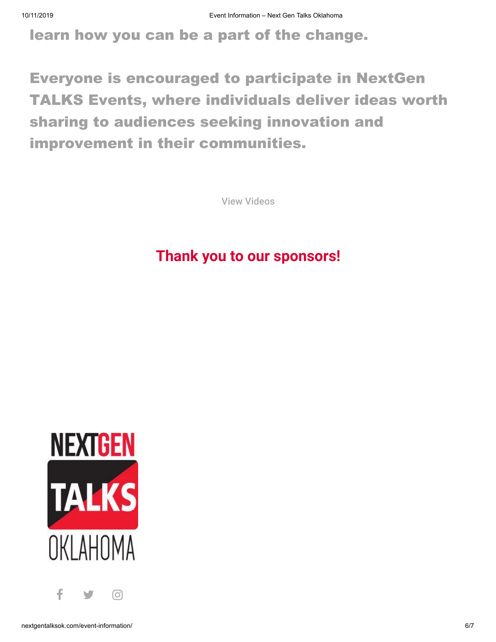learn how you can be a part of the change.

Everyone is encouraged to participate in NextGen TALKS Events, where individuals deliver ideas worth sharing to audiences seeking innovation and improvement in their communities.

[View Videos](http://nextgentalksok.com/view-videos)

## **[Thank you to our s](https://www.stacyeads.com/)[ponsors!](http://southokc.com/)**



 $f \rightarrow 0$